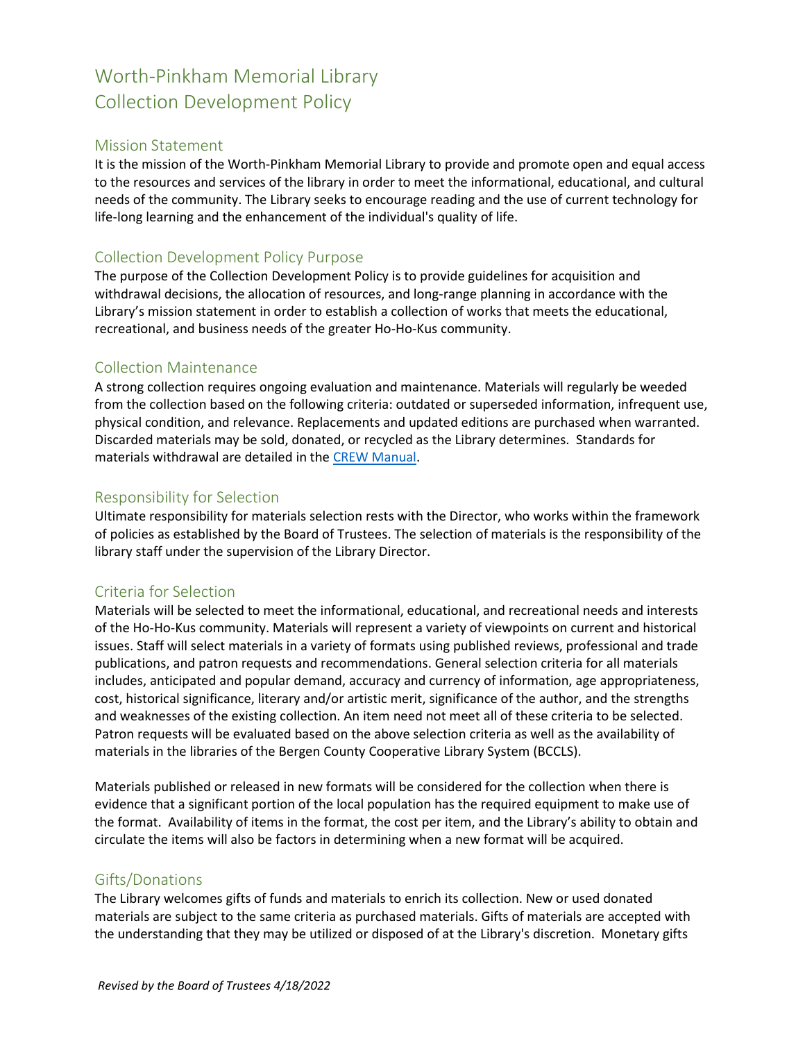# Worth-Pinkham Memorial Library Collection Development Policy

### Mission Statement

It is the mission of the Worth-Pinkham Memorial Library to provide and promote open and equal access to the resources and services of the library in order to meet the informational, educational, and cultural needs of the community. The Library seeks to encourage reading and the use of current technology for life-long learning and the enhancement of the individual's quality of life.

## Collection Development Policy Purpose

The purpose of the Collection Development Policy is to provide guidelines for acquisition and withdrawal decisions, the allocation of resources, and long-range planning in accordance with the Library's mission statement in order to establish a collection of works that meets the educational, recreational, and business needs of the greater Ho-Ho-Kus community.

#### Collection Maintenance

A strong collection requires ongoing evaluation and maintenance. Materials will regularly be weeded from the collection based on the following criteria: outdated or superseded information, infrequent use, physical condition, and relevance. Replacements and updated editions are purchased when warranted. Discarded materials may be sold, donated, or recycled as the Library determines. Standards for materials withdrawal are detailed in the [CREW Manual.](https://www.tsl.state.tx.us/ld/pubs/crew/index.html)

#### Responsibility for Selection

Ultimate responsibility for materials selection rests with the Director, who works within the framework of policies as established by the Board of Trustees. The selection of materials is the responsibility of the library staff under the supervision of the Library Director.

#### Criteria for Selection

Materials will be selected to meet the informational, educational, and recreational needs and interests of the Ho-Ho-Kus community. Materials will represent a variety of viewpoints on current and historical issues. Staff will select materials in a variety of formats using published reviews, professional and trade publications, and patron requests and recommendations. General selection criteria for all materials includes, anticipated and popular demand, accuracy and currency of information, age appropriateness, cost, historical significance, literary and/or artistic merit, significance of the author, and the strengths and weaknesses of the existing collection. An item need not meet all of these criteria to be selected. Patron requests will be evaluated based on the above selection criteria as well as the availability of materials in the libraries of the Bergen County Cooperative Library System (BCCLS).

Materials published or released in new formats will be considered for the collection when there is evidence that a significant portion of the local population has the required equipment to make use of the format. Availability of items in the format, the cost per item, and the Library's ability to obtain and circulate the items will also be factors in determining when a new format will be acquired.

#### Gifts/Donations

The Library welcomes gifts of funds and materials to enrich its collection. New or used donated materials are subject to the same criteria as purchased materials. Gifts of materials are accepted with the understanding that they may be utilized or disposed of at the Library's discretion. Monetary gifts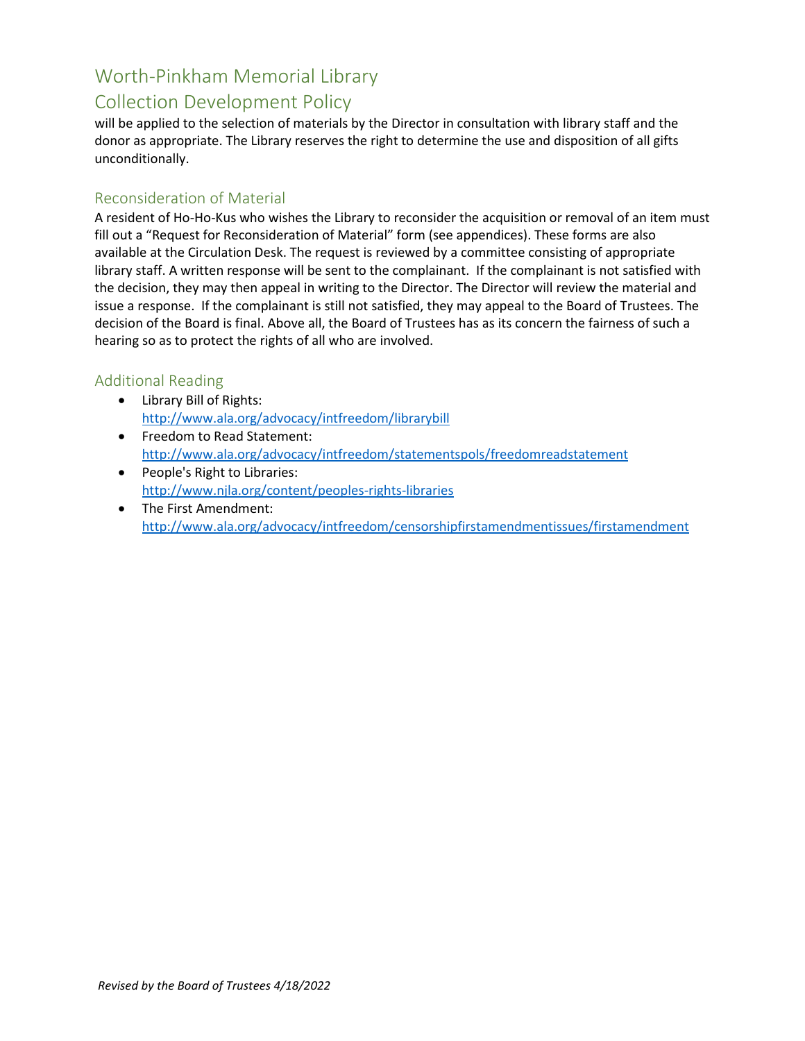## Worth-Pinkham Memorial Library Collection Development Policy

will be applied to the selection of materials by the Director in consultation with library staff and the donor as appropriate. The Library reserves the right to determine the use and disposition of all gifts unconditionally.

#### Reconsideration of Material

A resident of Ho-Ho-Kus who wishes the Library to reconsider the acquisition or removal of an item must fill out a "Request for Reconsideration of Material" form (see appendices). These forms are also available at the Circulation Desk. The request is reviewed by a committee consisting of appropriate library staff. A written response will be sent to the complainant. If the complainant is not satisfied with the decision, they may then appeal in writing to the Director. The Director will review the material and issue a response. If the complainant is still not satisfied, they may appeal to the Board of Trustees. The decision of the Board is final. Above all, the Board of Trustees has as its concern the fairness of such a hearing so as to protect the rights of all who are involved.

## Additional Reading

- Library Bill of Rights: <http://www.ala.org/advocacy/intfreedom/librarybill>
- Freedom to Read Statement: <http://www.ala.org/advocacy/intfreedom/statementspols/freedomreadstatement>
- People's Right to Libraries: <http://www.njla.org/content/peoples-rights-libraries>
- The First Amendment: <http://www.ala.org/advocacy/intfreedom/censorshipfirstamendmentissues/firstamendment>